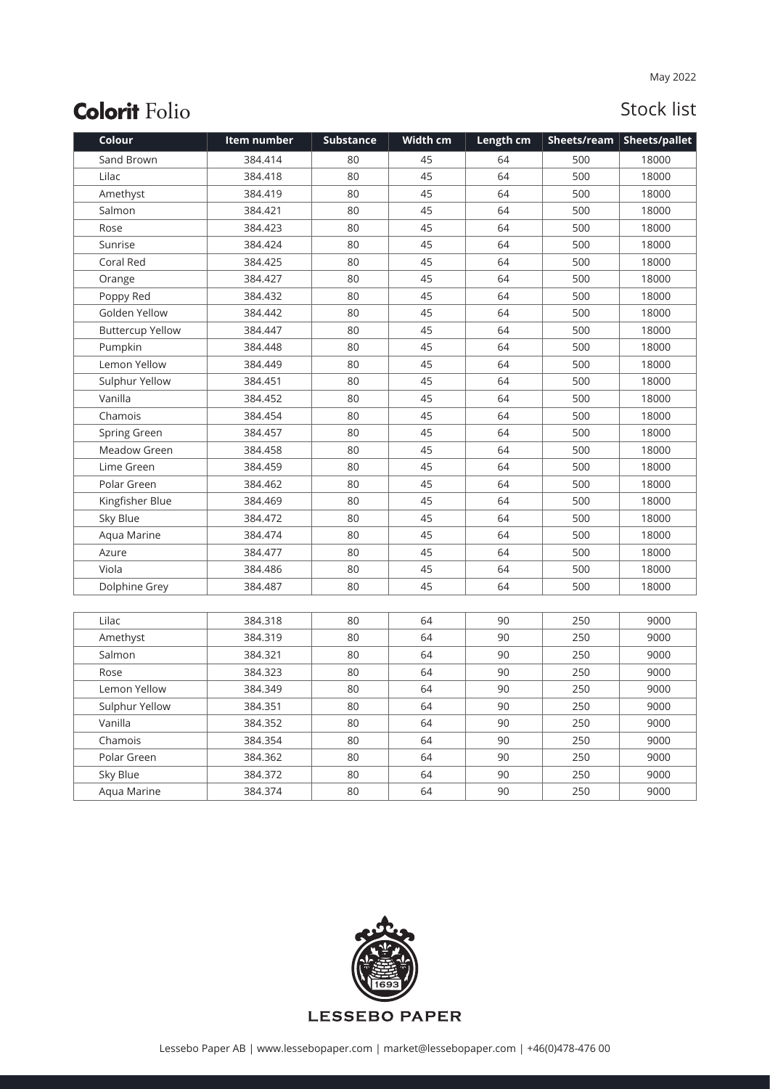| Colour                  | Item number | <b>Substance</b> | Width cm | Length cm |     | Sheets/ream   Sheets/pallet |
|-------------------------|-------------|------------------|----------|-----------|-----|-----------------------------|
| Sand Brown              | 384.414     | 80               | 45       | 64        | 500 | 18000                       |
| Lilac                   | 384.418     | 80               | 45       | 64        | 500 | 18000                       |
| Amethyst                | 384.419     | 80               | 45       | 64        | 500 | 18000                       |
| Salmon                  | 384.421     | 80               | 45       | 64        | 500 | 18000                       |
| Rose                    | 384.423     | 80               | 45       | 64        | 500 | 18000                       |
| Sunrise                 | 384.424     | 80               | 45       | 64        | 500 | 18000                       |
| Coral Red               | 384.425     | 80               | 45       | 64        | 500 | 18000                       |
| Orange                  | 384.427     | 80               | 45       | 64        | 500 | 18000                       |
| Poppy Red               | 384.432     | 80               | 45       | 64        | 500 | 18000                       |
| Golden Yellow           | 384.442     | 80               | 45       | 64        | 500 | 18000                       |
| <b>Buttercup Yellow</b> | 384.447     | 80               | 45       | 64        | 500 | 18000                       |
| Pumpkin                 | 384.448     | 80               | 45       | 64        | 500 | 18000                       |
| Lemon Yellow            | 384.449     | 80               | 45       | 64        | 500 | 18000                       |
| Sulphur Yellow          | 384.451     | 80               | 45       | 64        | 500 | 18000                       |
| Vanilla                 | 384.452     | 80               | 45       | 64        | 500 | 18000                       |
| Chamois                 | 384.454     | 80               | 45       | 64        | 500 | 18000                       |
| Spring Green            | 384.457     | 80               | 45       | 64        | 500 | 18000                       |
| Meadow Green            | 384.458     | 80               | 45       | 64        | 500 | 18000                       |
| Lime Green              | 384.459     | 80               | 45       | 64        | 500 | 18000                       |
| Polar Green             | 384.462     | 80               | 45       | 64        | 500 | 18000                       |
| Kingfisher Blue         | 384.469     | 80               | 45       | 64        | 500 | 18000                       |
| Sky Blue                | 384.472     | 80               | 45       | 64        | 500 | 18000                       |
| Aqua Marine             | 384.474     | 80               | 45       | 64        | 500 | 18000                       |
| Azure                   | 384.477     | 80               | 45       | 64        | 500 | 18000                       |
| Viola                   | 384.486     | 80               | 45       | 64        | 500 | 18000                       |
| Dolphine Grey           | 384.487     | 80               | 45       | 64        | 500 | 18000                       |
|                         |             |                  |          |           |     |                             |
| Lilac                   | 384.318     | 80               | 64       | 90        | 250 | 9000                        |
| Amethyst                | 384.319     | 80               | 64       | 90        | 250 | 9000                        |
| Salmon                  | 384.321     | 80               | 64       | 90        | 250 | 9000                        |
| Rose                    | 384.323     | 80               | 64       | 90        | 250 | 9000                        |
| Lemon Yellow            | 384.349     | 80               | 64       | 90        | 250 | 9000                        |
| Sulphur Yellow          | 384.351     | 80               | 64       | 90        | 250 | 9000                        |
| Vanilla                 | 384.352     | 80               | 64       | 90        | 250 | 9000                        |
| Chamois                 | 384.354     | 80               | 64       | 90        | 250 | 9000                        |
| Polar Green             | 384.362     | 80               | 64       | 90        | 250 | 9000                        |
| Sky Blue                | 384.372     | 80               | 64       | 90        | 250 | 9000                        |
| Aqua Marine             | 384.374     | 80               | 64       | 90        | 250 | 9000                        |

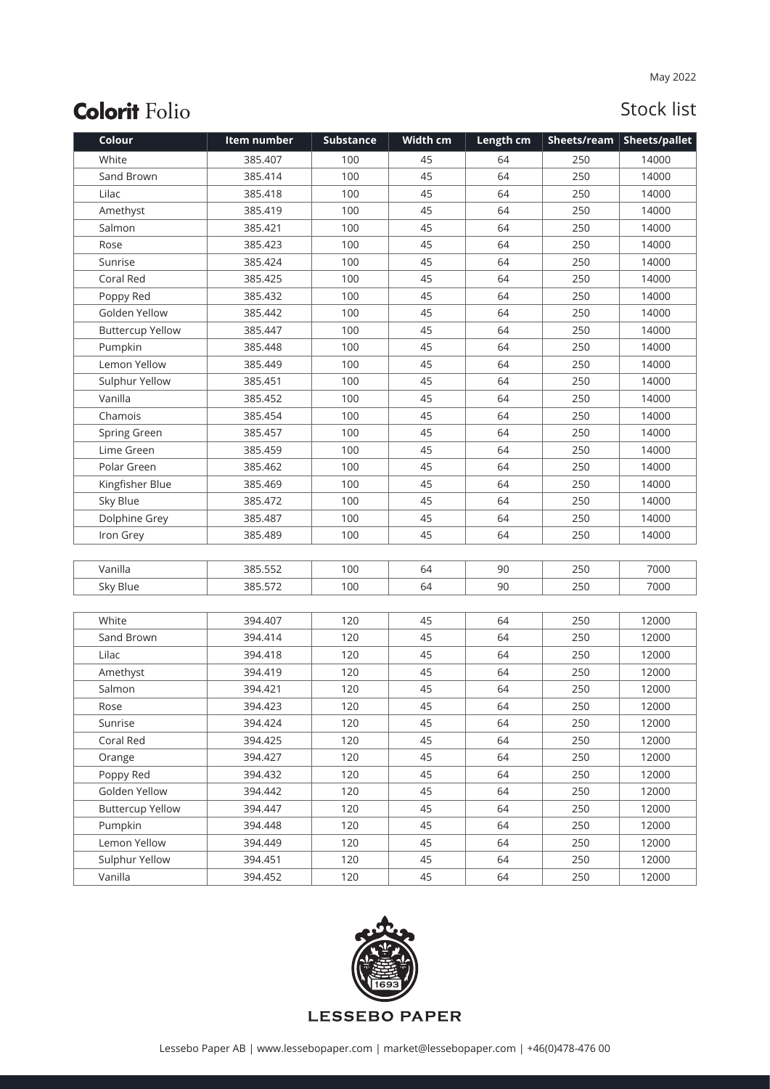| Colour                  | Item number | <b>Substance</b> | Width cm | Length cm |     | Sheets/ream   Sheets/pallet |
|-------------------------|-------------|------------------|----------|-----------|-----|-----------------------------|
| White                   | 385.407     | 100              | 45       | 64        | 250 | 14000                       |
| Sand Brown              | 385.414     | 100              | 45       | 64        | 250 | 14000                       |
| Lilac                   | 385.418     | 100              | 45       | 64        | 250 | 14000                       |
| Amethyst                | 385.419     | 100              | 45       | 64        | 250 | 14000                       |
| Salmon                  | 385.421     | 100              | 45       | 64        | 250 | 14000                       |
| Rose                    | 385.423     | 100              | 45       | 64        | 250 | 14000                       |
| Sunrise                 | 385.424     | 100              | 45       | 64        | 250 | 14000                       |
| Coral Red               | 385.425     | 100              | 45       | 64        | 250 | 14000                       |
| Poppy Red               | 385.432     | 100              | 45       | 64        | 250 | 14000                       |
| Golden Yellow           | 385.442     | 100              | 45       | 64        | 250 | 14000                       |
| <b>Buttercup Yellow</b> | 385.447     | 100              | 45       | 64        | 250 | 14000                       |
| Pumpkin                 | 385.448     | 100              | 45       | 64        | 250 | 14000                       |
| Lemon Yellow            | 385.449     | 100              | 45       | 64        | 250 | 14000                       |
| Sulphur Yellow          | 385.451     | 100              | 45       | 64        | 250 | 14000                       |
| Vanilla                 | 385.452     | 100              | 45       | 64        | 250 | 14000                       |
| Chamois                 | 385.454     | 100              | 45       | 64        | 250 | 14000                       |
| Spring Green            | 385.457     | 100              | 45       | 64        | 250 | 14000                       |
| Lime Green              | 385.459     | 100              | 45       | 64        | 250 | 14000                       |
| Polar Green             | 385.462     | 100              | 45       | 64        | 250 | 14000                       |
| Kingfisher Blue         | 385.469     | 100              | 45       | 64        | 250 | 14000                       |
| Sky Blue                | 385.472     | 100              | 45       | 64        | 250 | 14000                       |
| Dolphine Grey           | 385.487     | 100              | 45       | 64        | 250 | 14000                       |
| Iron Grey               | 385.489     | 100              | 45       | 64        | 250 | 14000                       |
|                         |             |                  |          |           |     |                             |
| Vanilla                 | 385.552     | 100              | 64       | 90        | 250 | 7000                        |
| Sky Blue                | 385.572     | 100              | 64       | 90        | 250 | 7000                        |
|                         |             |                  |          |           |     |                             |
| White                   | 394.407     | 120              | 45       | 64        | 250 | 12000                       |
| Sand Brown              | 394.414     | 120              | 45       | 64        | 250 | 12000                       |
| Lilac                   | 394.418     | 120              | 45       | 64        | 250 | 12000                       |
| Amethyst                | 394.419     | 120              | 45       | 64        | 250 | 12000                       |
| Salmon                  | 394.421     | 120              | 45       | 64        | 250 | 12000                       |
| Rose                    | 394.423     | 120              | 45       | 64        | 250 | 12000                       |
| Sunrise                 | 394.424     | 120              | 45       | 64        | 250 | 12000                       |
| Coral Red               | 394.425     | 120              | 45       | 64        | 250 | 12000                       |
| Orange                  | 394.427     | 120              | 45       | 64        | 250 | 12000                       |
| Poppy Red               | 394.432     | 120              | 45       | 64        | 250 | 12000                       |
| Golden Yellow           | 394.442     | 120              | 45       | 64        | 250 | 12000                       |
| <b>Buttercup Yellow</b> | 394.447     | 120              | 45       | 64        | 250 | 12000                       |
| Pumpkin                 | 394.448     | 120              | 45       | 64        | 250 | 12000                       |
| Lemon Yellow            | 394.449     | 120              | 45       | 64        | 250 | 12000                       |
| Sulphur Yellow          | 394.451     | 120              | 45       | 64        | 250 | 12000                       |
| Vanilla                 | 394.452     | 120              | 45       | 64        | 250 | 12000                       |

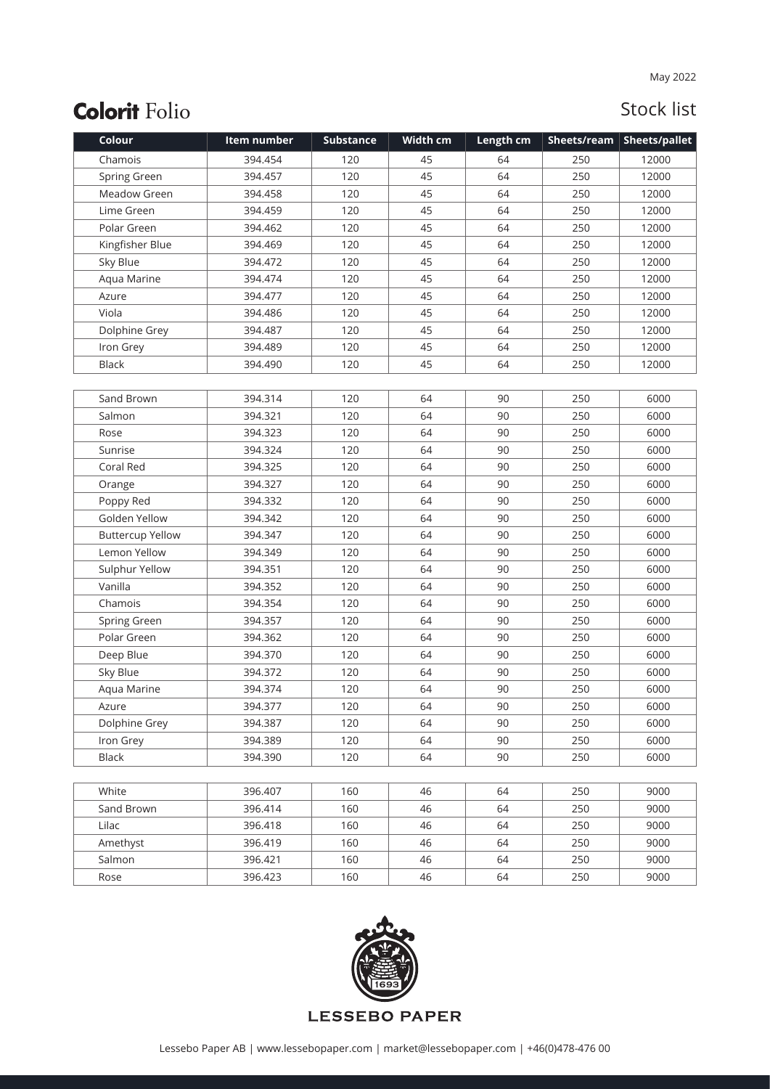| Colour                  | Item number | <b>Substance</b> | Width cm | Length cm | Sheets/ream | Sheets/pallet |
|-------------------------|-------------|------------------|----------|-----------|-------------|---------------|
| Chamois                 | 394.454     | 120              | 45       | 64        | 250         | 12000         |
| Spring Green            | 394.457     | 120              | 45       | 64        | 250         | 12000         |
| Meadow Green            | 394.458     | 120              | 45       | 64        | 250         | 12000         |
| Lime Green              | 394.459     | 120              | 45       | 64        | 250         | 12000         |
| Polar Green             | 394.462     | 120              | 45       | 64        | 250         | 12000         |
| Kingfisher Blue         | 394.469     | 120              | 45       | 64        | 250         | 12000         |
| Sky Blue                | 394.472     | 120              | 45       | 64        | 250         | 12000         |
| Aqua Marine             | 394.474     | 120              | 45       | 64        | 250         | 12000         |
| Azure                   | 394.477     | 120              | 45       | 64        | 250         | 12000         |
| Viola                   | 394.486     | 120              | 45       | 64        | 250         | 12000         |
| Dolphine Grey           | 394.487     | 120              | 45       | 64        | 250         | 12000         |
| Iron Grey               | 394.489     | 120              | 45       | 64        | 250         | 12000         |
| <b>Black</b>            | 394.490     | 120              | 45       | 64        | 250         | 12000         |
|                         |             |                  |          |           |             |               |
| Sand Brown              | 394.314     | 120              | 64       | 90        | 250         | 6000          |
| Salmon                  | 394.321     | 120              | 64       | 90        | 250         | 6000          |
| Rose                    | 394.323     | 120              | 64       | 90        | 250         | 6000          |
| Sunrise                 | 394.324     | 120              | 64       | 90        | 250         | 6000          |
| Coral Red               | 394.325     | 120              | 64       | 90        | 250         | 6000          |
| Orange                  | 394.327     | 120              | 64       | 90        | 250         | 6000          |
| Poppy Red               | 394.332     | 120              | 64       | 90        | 250         | 6000          |
| Golden Yellow           | 394.342     | 120              | 64       | 90        | 250         | 6000          |
| <b>Buttercup Yellow</b> | 394.347     | 120              | 64       | 90        | 250         | 6000          |
| Lemon Yellow            | 394.349     | 120              | 64       | 90        | 250         | 6000          |
| Sulphur Yellow          | 394.351     | 120              | 64       | 90        | 250         | 6000          |
| Vanilla                 | 394.352     | 120              | 64       | 90        | 250         | 6000          |
| Chamois                 | 394.354     | 120              | 64       | 90        | 250         | 6000          |
| Spring Green            | 394.357     | 120              | 64       | 90        | 250         | 6000          |
| Polar Green             | 394.362     | 120              | 64       | 90        | 250         | 6000          |
| Deep Blue               | 394.370     | 120              | 64       | 90        | 250         | 6000          |
| Sky Blue                | 394.372     | 120              | 64       | 90        | 250         | 6000          |
| Aqua Marine             | 394.374     | 120              | 64       | 90        | 250         | 6000          |
| Azure                   | 394.377     | 120              | 64       | 90        | 250         | 6000          |
| Dolphine Grey           | 394.387     | 120              | 64       | 90        | 250         | 6000          |
| Iron Grey               | 394.389     | 120              | 64       | 90        | 250         | 6000          |
| Black                   | 394.390     | 120              | 64       | 90        | 250         | 6000          |
|                         |             |                  |          |           |             |               |
| White                   | 396.407     | 160              | 46       | 64        | 250         | 9000          |
| Sand Brown              | 396.414     | 160              | 46       | 64        | 250         | 9000          |
| Lilac                   | 396.418     | 160              | 46       | 64        | 250         | 9000          |
| Amethyst                | 396.419     | 160              | 46       | 64        | 250         | 9000          |
| Salmon                  | 396.421     | 160              | 46       | 64        | 250         | 9000          |
| Rose                    | 396.423     | 160              | 46       | 64        | 250         | 9000          |

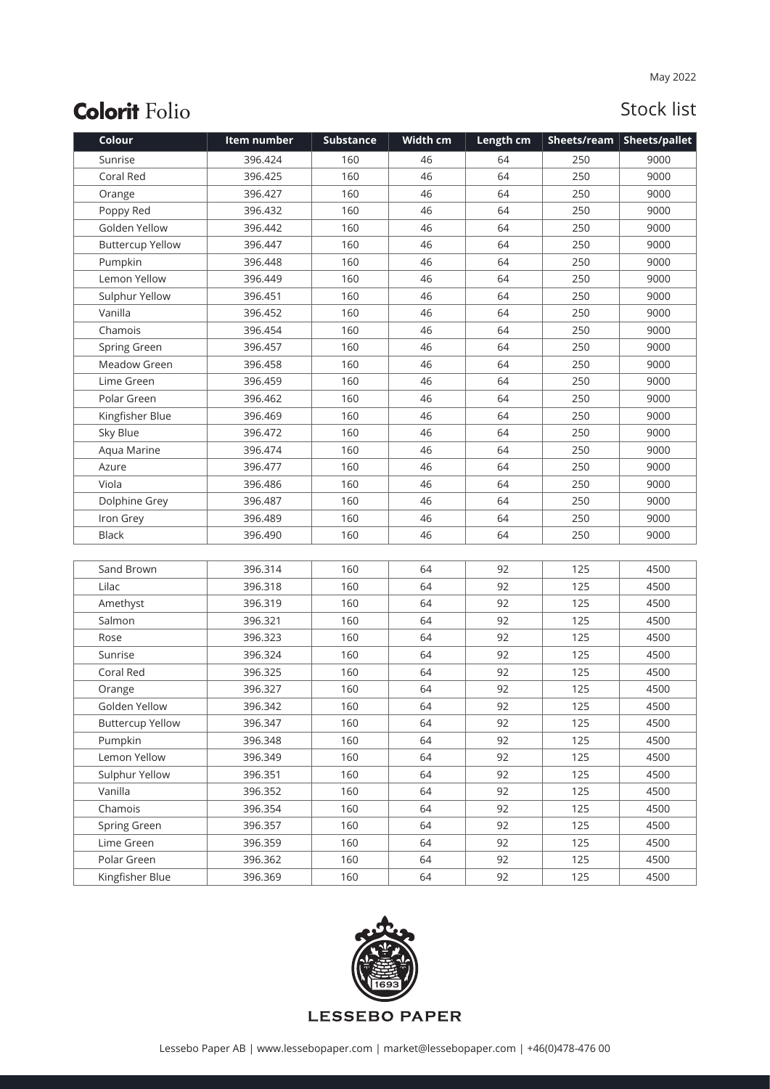| Colour                  | Item number | <b>Substance</b> | Width cm | Length cm |     | Sheets/ream   Sheets/pallet |
|-------------------------|-------------|------------------|----------|-----------|-----|-----------------------------|
| Sunrise                 | 396.424     | 160              | 46       | 64        | 250 | 9000                        |
| Coral Red               | 396.425     | 160              | 46       | 64        | 250 | 9000                        |
| Orange                  | 396.427     | 160              | 46       | 64        | 250 | 9000                        |
| Poppy Red               | 396.432     | 160              | 46       | 64        | 250 | 9000                        |
| Golden Yellow           | 396.442     | 160              | 46       | 64        | 250 | 9000                        |
| <b>Buttercup Yellow</b> | 396.447     | 160              | 46       | 64        | 250 | 9000                        |
| Pumpkin                 | 396.448     | 160              | 46       | 64        | 250 | 9000                        |
| Lemon Yellow            | 396.449     | 160              | 46       | 64        | 250 | 9000                        |
| Sulphur Yellow          | 396.451     | 160              | 46       | 64        | 250 | 9000                        |
| Vanilla                 | 396.452     | 160              | 46       | 64        | 250 | 9000                        |
| Chamois                 | 396.454     | 160              | 46       | 64        | 250 | 9000                        |
| Spring Green            | 396.457     | 160              | 46       | 64        | 250 | 9000                        |
| Meadow Green            | 396.458     | 160              | 46       | 64        | 250 | 9000                        |
| Lime Green              | 396.459     | 160              | 46       | 64        | 250 | 9000                        |
| Polar Green             | 396.462     | 160              | 46       | 64        | 250 | 9000                        |
| Kingfisher Blue         | 396.469     | 160              | 46       | 64        | 250 | 9000                        |
| Sky Blue                | 396.472     | 160              | 46       | 64        | 250 | 9000                        |
| Aqua Marine             | 396.474     | 160              | 46       | 64        | 250 | 9000                        |
| Azure                   | 396.477     | 160              | 46       | 64        | 250 | 9000                        |
| Viola                   | 396.486     | 160              | 46       | 64        | 250 | 9000                        |
| Dolphine Grey           | 396.487     | 160              | 46       | 64        | 250 | 9000                        |
| Iron Grey               | 396.489     | 160              | 46       | 64        | 250 | 9000                        |
| <b>Black</b>            | 396.490     | 160              | 46       | 64        | 250 | 9000                        |
|                         |             |                  |          |           |     |                             |
| Sand Brown              | 396.314     | 160              | 64       | 92        | 125 | 4500                        |
| Lilac                   | 396.318     | 160              | 64       | 92        | 125 | 4500                        |
| Amethyst                | 396.319     | 160              | 64       | 92        | 125 | 4500                        |
| Salmon                  | 396.321     | 160              | 64       | 92        | 125 | 4500                        |
| Rose                    | 396.323     | 160              | 64       | 92        | 125 | 4500                        |
| Sunrise                 | 396.324     | 160              | 64       | 92        | 125 | 4500                        |
| Coral Red               | 396.325     | 160              | 64       | 92        | 125 | 4500                        |
| Orange                  | 396.327     | 160              | 64       | 92        | 125 | 4500                        |
| Golden Yellow           | 396.342     | 160              | 64       | 92        | 125 | 4500                        |
| <b>Buttercup Yellow</b> | 396.347     | 160              | 64       | 92        | 125 | 4500                        |
| Pumpkin                 | 396.348     | 160              | 64       | 92        | 125 | 4500                        |
| Lemon Yellow            | 396.349     | 160              | 64       | 92        | 125 | 4500                        |
| Sulphur Yellow          | 396.351     | 160              | 64       | 92        | 125 | 4500                        |
| Vanilla                 | 396.352     | 160              | 64       | 92        | 125 | 4500                        |
| Chamois                 | 396.354     | 160              | 64       | 92        | 125 | 4500                        |
| Spring Green            | 396.357     | 160              | 64       | 92        | 125 | 4500                        |
| Lime Green              | 396.359     | 160              | 64       | 92        | 125 | 4500                        |
| Polar Green             | 396.362     | 160              | 64       | 92        | 125 | 4500                        |
| Kingfisher Blue         | 396.369     | 160              | 64       | 92        | 125 | 4500                        |

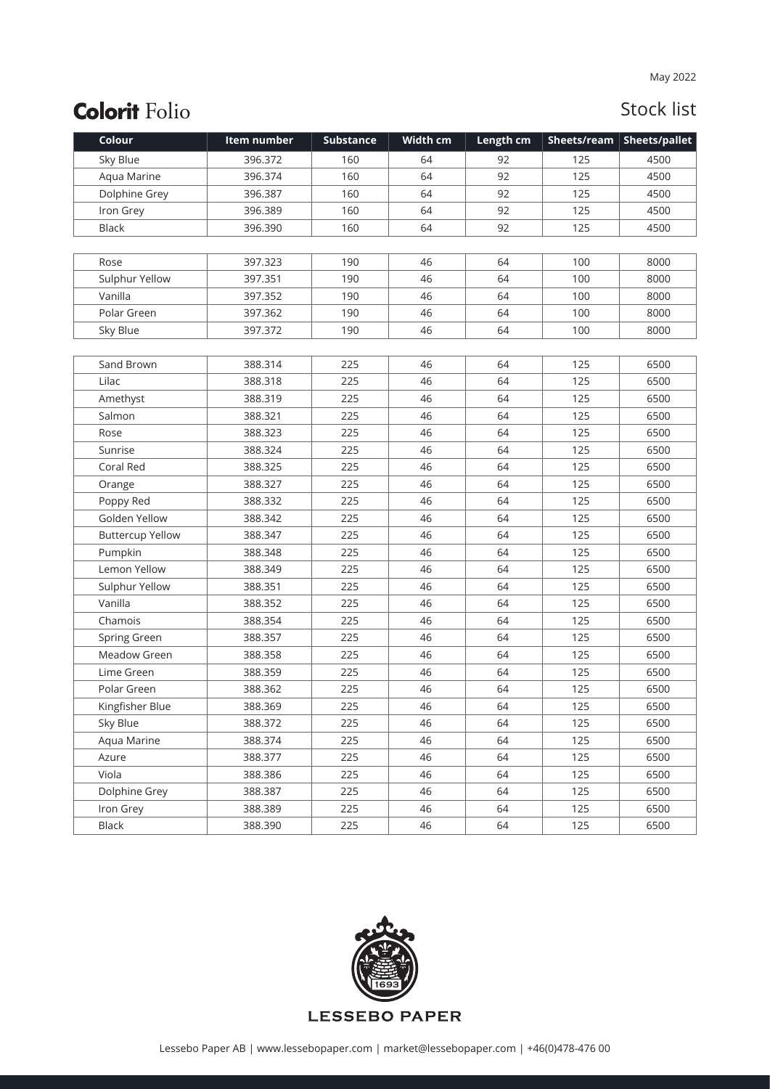| Colour                  | Item number | <b>Substance</b> | Width cm | Length cm | Sheets/ream | <b>Sheets/pallet</b> |
|-------------------------|-------------|------------------|----------|-----------|-------------|----------------------|
| Sky Blue                | 396.372     | 160              | 64       | 92        | 125         | 4500                 |
| Aqua Marine             | 396.374     | 160              | 64       | 92        | 125         | 4500                 |
| Dolphine Grey           | 396.387     | 160              | 64       | 92        | 125         | 4500                 |
| Iron Grey               | 396.389     | 160              | 64       | 92        | 125         | 4500                 |
| <b>Black</b>            | 396.390     | 160              | 64       | 92        | 125         | 4500                 |
|                         |             |                  |          |           |             |                      |
| Rose                    | 397.323     | 190              | 46       | 64        | 100         | 8000                 |
| Sulphur Yellow          | 397.351     | 190              | 46       | 64        | 100         | 8000                 |
| Vanilla                 | 397.352     | 190              | 46       | 64        | 100         | 8000                 |
| Polar Green             | 397.362     | 190              | 46       | 64        | 100         | 8000                 |
| Sky Blue                | 397.372     | 190              | 46       | 64        | 100         | 8000                 |
|                         |             |                  |          |           |             |                      |
| Sand Brown              | 388.314     | 225              | 46       | 64        | 125         | 6500                 |
| Lilac                   | 388.318     | 225              | 46       | 64        | 125         | 6500                 |
| Amethyst                | 388.319     | 225              | 46       | 64        | 125         | 6500                 |
| Salmon                  | 388.321     | 225              | 46       | 64        | 125         | 6500                 |
| Rose                    | 388.323     | 225              | 46       | 64        | 125         | 6500                 |
| Sunrise                 | 388.324     | 225              | 46       | 64        | 125         | 6500                 |
| Coral Red               | 388.325     | 225              | 46       | 64        | 125         | 6500                 |
| Orange                  | 388.327     | 225              | 46       | 64        | 125         | 6500                 |
| Poppy Red               | 388.332     | 225              | 46       | 64        | 125         | 6500                 |
| Golden Yellow           | 388.342     | 225              | 46       | 64        | 125         | 6500                 |
| <b>Buttercup Yellow</b> | 388.347     | 225              | 46       | 64        | 125         | 6500                 |
| Pumpkin                 | 388.348     | 225              | 46       | 64        | 125         | 6500                 |
| Lemon Yellow            | 388.349     | 225              | 46       | 64        | 125         | 6500                 |
| Sulphur Yellow          | 388.351     | 225              | 46       | 64        | 125         | 6500                 |
| Vanilla                 | 388.352     | 225              | 46       | 64        | 125         | 6500                 |
| Chamois                 | 388.354     | 225              | 46       | 64        | 125         | 6500                 |
| Spring Green            | 388.357     | 225              | 46       | 64        | 125         | 6500                 |
| Meadow Green            | 388.358     | 225              | 46       | 64        | 125         | 6500                 |
| Lime Green              | 388.359     | 225              | 46       | 64        | 125         | 6500                 |
| Polar Green             | 388.362     | 225              | 46       | 64        | 125         | 6500                 |
| Kingfisher Blue         | 388.369     | 225              | 46       | 64        | 125         | 6500                 |
| Sky Blue                | 388.372     | 225              | 46       | 64        | 125         | 6500                 |
| Aqua Marine             | 388.374     | 225              | 46       | 64        | 125         | 6500                 |
| Azure                   | 388.377     | 225              | 46       | 64        | 125         | 6500                 |
| Viola                   | 388.386     | 225              | 46       | 64        | 125         | 6500                 |
| Dolphine Grey           | 388.387     | 225              | 46       | 64        | 125         | 6500                 |
| Iron Grey               | 388.389     | 225              | 46       | 64        | 125         | 6500                 |
| Black                   | 388.390     | 225              | 46       | 64        | 125         | 6500                 |